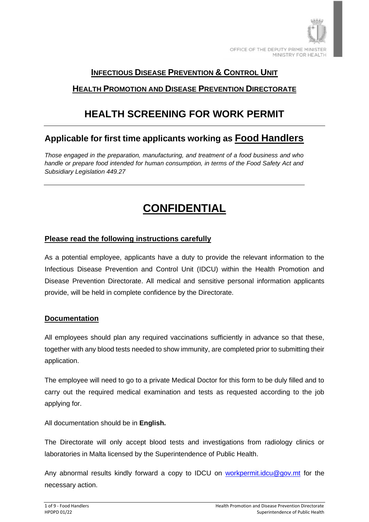

## **INFECTIOUS DISEASE PREVENTION & CONTROL UNIT**

#### **HEALTH PROMOTION AND DISEASE PREVENTION DIRECTORATE**

## **HEALTH SCREENING FOR WORK PERMIT**

## **Applicable for first time applicants working as Food Handlers**

*Those engaged in the preparation, manufacturing, and treatment of a food business and who handle or prepare food intended for human consumption, in terms of the Food Safety Act and Subsidiary Legislation 449.27*

## **CONFIDENTIAL**

#### **Please read the following instructions carefully**

As a potential employee, applicants have a duty to provide the relevant information to the Infectious Disease Prevention and Control Unit (IDCU) within the Health Promotion and Disease Prevention Directorate. All medical and sensitive personal information applicants provide, will be held in complete confidence by the Directorate.

#### **Documentation**

All employees should plan any required vaccinations sufficiently in advance so that these, together with any blood tests needed to show immunity, are completed prior to submitting their application.

The employee will need to go to a private Medical Doctor for this form to be duly filled and to carry out the required medical examination and tests as requested according to the job applying for.

All documentation should be in **English.**

The Directorate will only accept blood tests and investigations from radiology clinics or laboratories in Malta licensed by the Superintendence of Public Health.

Any abnormal results kindly forward a copy to IDCU on [workpermit.idcu@gov.mt](mailto:workpermit.idcu@gov.mt) for the necessary action.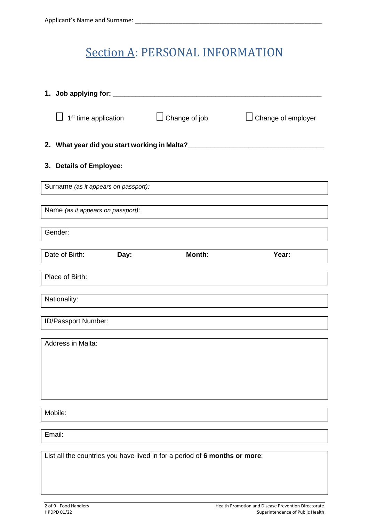# Section A: PERSONAL INFORMATION

| 1 <sup>st</sup> time application                                           | $\Box$ Change of job | $\Box$ Change of employer |  |  |
|----------------------------------------------------------------------------|----------------------|---------------------------|--|--|
| 2. What year did you start working in Malta?                               |                      |                           |  |  |
| 3. Details of Employee:                                                    |                      |                           |  |  |
| Surname (as it appears on passport):                                       |                      |                           |  |  |
| Name (as it appears on passport):                                          |                      |                           |  |  |
| Gender:                                                                    |                      |                           |  |  |
| Date of Birth:<br>Day:                                                     | Month:               | Year:                     |  |  |
| Place of Birth:                                                            |                      |                           |  |  |
| Nationality:                                                               |                      |                           |  |  |
| ID/Passport Number:                                                        |                      |                           |  |  |
| Address in Malta:                                                          |                      |                           |  |  |
|                                                                            |                      |                           |  |  |
|                                                                            |                      |                           |  |  |
|                                                                            |                      |                           |  |  |
| Mobile:                                                                    |                      |                           |  |  |
| Email:                                                                     |                      |                           |  |  |
| List all the countries you have lived in for a period of 6 months or more: |                      |                           |  |  |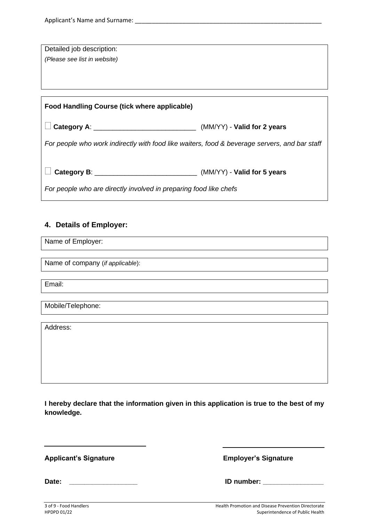| Detailed job description:                                                                     |  |  |  |
|-----------------------------------------------------------------------------------------------|--|--|--|
| (Please see list in website)                                                                  |  |  |  |
|                                                                                               |  |  |  |
|                                                                                               |  |  |  |
|                                                                                               |  |  |  |
|                                                                                               |  |  |  |
|                                                                                               |  |  |  |
|                                                                                               |  |  |  |
| Food Handling Course (tick where applicable)                                                  |  |  |  |
|                                                                                               |  |  |  |
|                                                                                               |  |  |  |
|                                                                                               |  |  |  |
|                                                                                               |  |  |  |
| For people who work indirectly with food like waiters, food & beverage servers, and bar staff |  |  |  |
|                                                                                               |  |  |  |
|                                                                                               |  |  |  |
|                                                                                               |  |  |  |
|                                                                                               |  |  |  |
| For people who are directly involved in preparing food like chefs                             |  |  |  |
|                                                                                               |  |  |  |
|                                                                                               |  |  |  |

#### **4. Details of Employer:**

Name of Employer:

Name of company (*if applicable*):

Email:

Mobile/Telephone:

Address:

**I hereby declare that the information given in this application is true to the best of my knowledge.**

**Applicant's Signature Employer's Signature** 

**Date: \_\_\_\_\_\_\_\_\_\_\_\_\_\_\_\_\_\_ ID number: \_\_\_\_\_\_\_\_\_\_\_\_\_\_\_\_**

3 of 9 - Food Handlers **Health Promotion and Disease Prevention Directorate**<br>Health Promotion and Disease Prevention Directorate<br>Superintendence of Public Health Superintendence of Public Health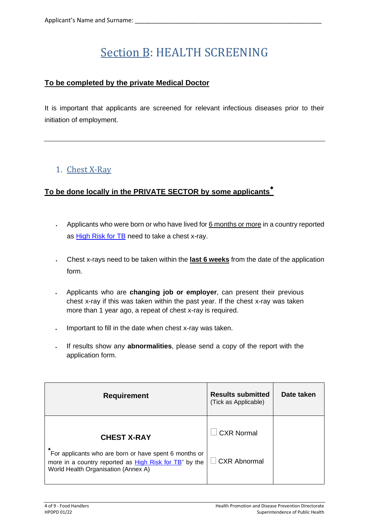# Section B: HEALTH SCREENING

#### **To be completed by the private Medical Doctor**

It is important that applicants are screened for relevant infectious diseases prior to their initiation of employment.

## 1. Chest X-Ray

## **To be done locally in the PRIVATE SECTOR by some applicants**

- $\cdot$  Applicants who were born or who have lived for  $6$  months or more in a country reported as [High Risk for TB](https://deputyprimeminister.gov.mt/en/health-promotion/idpcu/Documents/HIGH%20RISK%20TUBERCULOSIS%20COUNTRY%20LIST.pdf) need to take a chest x-ray.
- Chest x-rays need to be taken within the **last 6 weeks** from the date of the application form.
- Applicants who are **changing job or employer**, can present their previous chest x-ray if this was taken within the past year. If the chest x-ray was taken more than 1 year ago, a repeat of chest x-ray is required.
- Important to fill in the date when chest x-ray was taken.
- If results show any **abnormalities**, please send a copy of the report with the application form.

| <b>Requirement</b>                                                                                                                                                 | <b>Results submitted</b><br>(Tick as Applicable) | Date taken |
|--------------------------------------------------------------------------------------------------------------------------------------------------------------------|--------------------------------------------------|------------|
| <b>CHEST X-RAY</b>                                                                                                                                                 | <b>CXR Normal</b>                                |            |
| For applicants who are born or have spent 6 months or<br>more in a country reported as High Risk for TB <sup>*</sup> by the<br>World Health Organisation (Annex A) | CXR Abnormal                                     |            |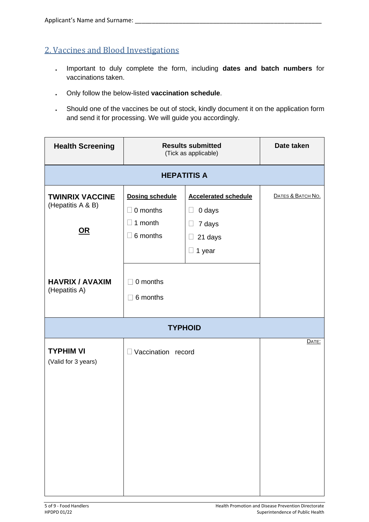## 2. Vaccines and Blood Investigations

- Important to duly complete the form, including **dates and batch numbers** for vaccinations taken.
- Only follow the below-listed **vaccination schedule**.
- Should one of the vaccines be out of stock, kindly document it on the application form and send it for processing. We will guide you accordingly.

| <b>Health Screening</b>                                  | <b>Results submitted</b><br>(Tick as applicable)                               |                                                                                                    | Date taken        |
|----------------------------------------------------------|--------------------------------------------------------------------------------|----------------------------------------------------------------------------------------------------|-------------------|
|                                                          |                                                                                | <b>HEPATITIS A</b>                                                                                 |                   |
| <b>TWINRIX VACCINE</b><br>(Hepatitis A & B)<br><u>OR</u> | <b>Dosing schedule</b><br>$\Box$ 0 months<br>$\Box$ 1 month<br>$\Box$ 6 months | <b>Accelerated schedule</b><br>0 days<br>$\Box$<br>7 days<br>$\Box$<br>21 days<br>⊔<br>1 year<br>Ц | DATES & BATCH NO. |
| <b>HAVRIX / AVAXIM</b><br>(Hepatitis A)                  | 0 months<br>6 months<br>$\blacksquare$                                         |                                                                                                    |                   |
|                                                          | <b>TYPHOID</b>                                                                 |                                                                                                    |                   |
| <b>TYPHIM VI</b><br>(Valid for 3 years)                  | Vaccination record                                                             |                                                                                                    | DATE:             |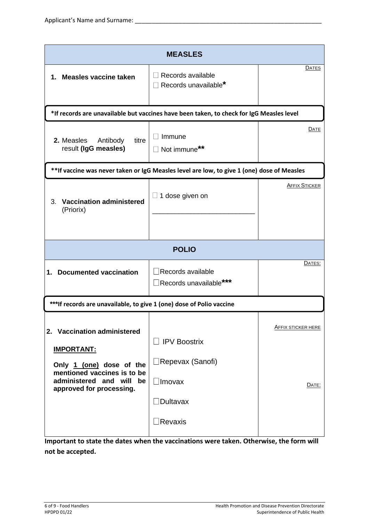| <b>MEASLES</b>                                                                                                  |                                                                                            |                           |  |
|-----------------------------------------------------------------------------------------------------------------|--------------------------------------------------------------------------------------------|---------------------------|--|
| <b>Measles vaccine taken</b><br>1.                                                                              | Records available<br>Records unavailable*                                                  | <b>DATES</b>              |  |
| *If records are unavailable but vaccines have been taken, to check for IgG Measles level                        |                                                                                            |                           |  |
| 2. Measles<br>Antibody<br>titre<br>result (IgG measles)                                                         | Immune<br>Not immune**                                                                     | DATE                      |  |
|                                                                                                                 | **If vaccine was never taken or IgG Measles level are low, to give 1 (one) dose of Measles |                           |  |
| 3. Vaccination administered<br>(Priorix)                                                                        | $\Box$ 1 dose given on                                                                     | <b>AFFIX STICKER</b>      |  |
| <b>POLIO</b>                                                                                                    |                                                                                            |                           |  |
| <b>Documented vaccination</b><br>1.                                                                             | Records available<br>$\exists$ Records unavailable***                                      | DATES:                    |  |
| *** If records are unavailable, to give 1 (one) dose of Polio vaccine                                           |                                                                                            |                           |  |
| 2. Vaccination administered<br><u><b>IMPORTANT:</b></u>                                                         | □ IPV Boostrix                                                                             | <b>AFFIX STICKER HERE</b> |  |
| Only 1 (one) dose of the<br>mentioned vaccines is to be<br>administered and will be<br>approved for processing. | $\Box$ Repevax (Sanofi)<br>$\Box$ Imovax                                                   | DATE:                     |  |
|                                                                                                                 | $\square$ Dultavax                                                                         |                           |  |
|                                                                                                                 | $\Box$ Revaxis                                                                             |                           |  |

**Important to state the dates when the vaccinations were taken. Otherwise, the form will not be accepted.**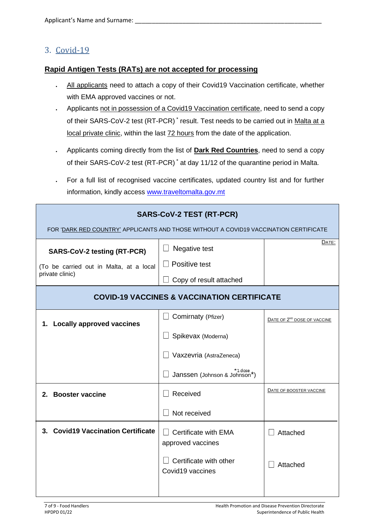### 3. Covid-19

#### **Rapid Antigen Tests (RATs) are not accepted for processing**

- All applicants need to attach a copy of their Covid19 Vaccination certificate, whether with EMA approved vaccines or not.
- Applicants not in possession of a Covid19 Vaccination certificate, need to send a copy of their SARS-CoV-2 test (RT-PCR)<sup>\*</sup> result. Test needs to be carried out in Malta at a local private clinic, within the last 72 hours from the date of the application.
- Applicants coming directly from the list of **Dark Red Countries**, need to send a copy of their SARS-CoV-2 test (RT-PCR) \* at day 11/12 of the quarantine period in Malta.
- For a full list of recognised vaccine certificates, updated country list and for further information, kindly access [www.traveltomalta.gov.mt](http://www.traveltomalta.gov.mt/)

| <b>SARS-CoV-2 TEST (RT-PCR)</b><br>FOR 'DARK RED COUNTRY' APPLICANTS AND THOSE WITHOUT A COVID19 VACCINATION CERTIFICATE |                                                                 |                                         |  |
|--------------------------------------------------------------------------------------------------------------------------|-----------------------------------------------------------------|-----------------------------------------|--|
| <b>SARS-CoV-2 testing (RT-PCR)</b>                                                                                       | Negative test<br>Positive test                                  | DATE:                                   |  |
| (To be carried out in Malta, at a local<br>private clinic)                                                               | Copy of result attached                                         |                                         |  |
| <b>COVID-19 VACCINES &amp; VACCINATION CERTIFICATE</b>                                                                   |                                                                 |                                         |  |
| 1. Locally approved vaccines                                                                                             | Comirnaty (Pfizer)                                              | DATE OF 2 <sup>ND</sup> DOSE OF VACCINE |  |
|                                                                                                                          | Spikevax (Moderna)                                              |                                         |  |
|                                                                                                                          | Vaxzevria (AstraZeneca)                                         |                                         |  |
|                                                                                                                          | <sup>+1 dose</sup><br>Janssen (Johnson & Johnson*)              |                                         |  |
| 2. Booster vaccine                                                                                                       | Received                                                        | DATE OF BOOSTER VACCINE                 |  |
|                                                                                                                          | Not received                                                    |                                         |  |
| 3. Covid19 Vaccination Certificate                                                                                       | <b>Certificate with EMA</b>                                     | Attached                                |  |
|                                                                                                                          | approved vaccines<br>Certificate with other<br>Covid19 vaccines | Attached                                |  |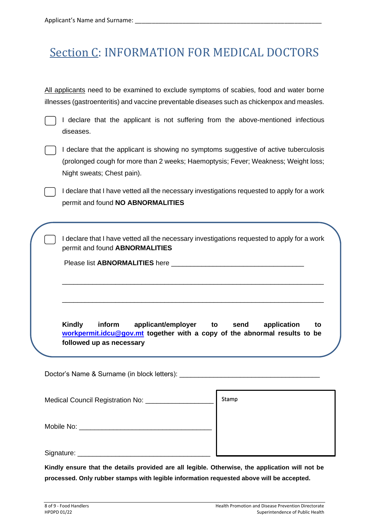# Section C: INFORMATION FOR MEDICAL DOCTORS

All applicants need to be examined to exclude symptoms of scabies, food and water borne illnesses (gastroenteritis) and vaccine preventable diseases such as chickenpox and measles.

I declare that the applicant is not suffering from the above-mentioned infectious diseases.



I declare that the applicant is showing no symptoms suggestive of active tuberculosis (prolonged cough for more than 2 weeks; Haemoptysis; Fever; Weakness; Weight loss; Night sweats; Chest pain).

I declare that I have vetted all the necessary investigations requested to apply for a work permit and found **NO ABNORMALITIES**

I declare that I have vetted all the necessary investigations requested to apply for a work permit and found **ABNORMALITIES**

\_\_\_\_\_\_\_\_\_\_\_\_\_\_\_\_\_\_\_\_\_\_\_\_\_\_\_\_\_\_\_\_\_\_\_\_\_\_\_\_\_\_\_\_\_\_\_\_\_\_\_\_\_\_\_\_\_\_\_\_\_\_\_\_\_\_\_\_\_

\_\_\_\_\_\_\_\_\_\_\_\_\_\_\_\_\_\_\_\_\_\_\_\_\_\_\_\_\_\_\_\_\_\_\_\_\_\_\_\_\_\_\_\_\_\_\_\_\_\_\_\_\_\_\_\_\_\_\_\_\_\_\_\_\_\_\_\_\_

Please list ABNORMALITIES here **Letters** and the set of the set of the set of the set of the set of the set of the set of the set of the set of the set of the set of the set of the set of the set of the set of the set of t

**Kindly inform applicant/employer to send application to [workpermit.idcu@gov.mt](mailto:workpermit.idcu@gov.mt) together with a copy of the abnormal results to be followed up as necessary**

Doctor's Name & Surname (in block letters):

| Medical Council Registration No: | Stamp |
|----------------------------------|-------|
| Mobile No:                       |       |
| Signature:                       |       |

**Kindly ensure that the details provided are all legible. Otherwise, the application will not be processed. Only rubber stamps with legible information requested above will be accepted.**